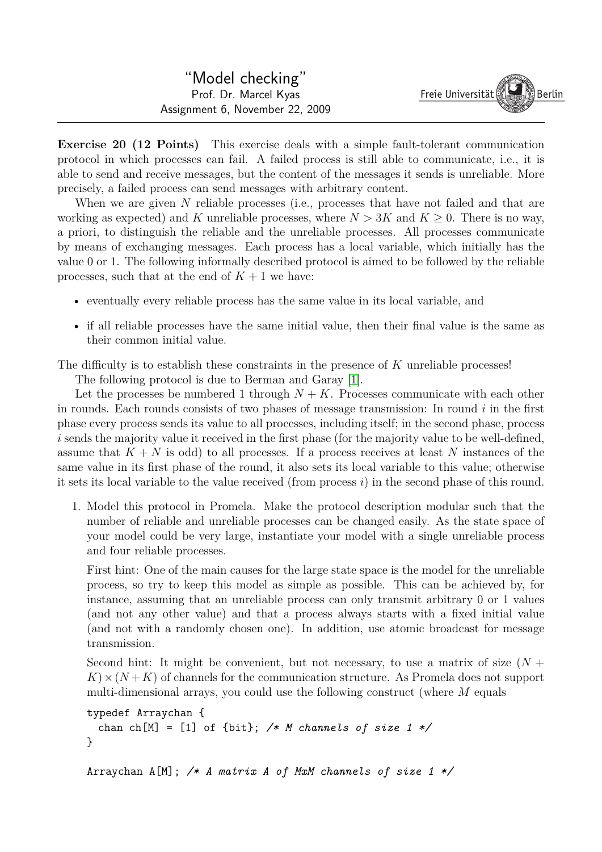**Exercise 20 (12 Points)** This exercise deals with a simple fault-tolerant communication protocol in which processes can fail. A failed process is still able to communicate, i.e., it is able to send and receive messages, but the content of the messages it sends is unreliable. More precisely, a failed process can send messages with arbitrary content.

When we are given N reliable processes (i.e., processes that have not failed and that are working as expected) and *K* unreliable processes, where  $N > 3K$  and  $K \geq 0$ . There is no way, a priori, to distinguish the reliable and the unreliable processes. All processes communicate by means of exchanging messages. Each process has a local variable, which initially has the value 0 or 1. The following informally described protocol is aimed to be followed by the reliable processes, such that at the end of  $K + 1$  we have:

- eventually every reliable process has the same value in its local variable, and
- if all reliable processes have the same initial value, then their final value is the same as their common initial value.

The difficulty is to establish these constraints in the presence of *K* unreliable processes!

The following protocol is due to Berman and Garay [\[1\]](#page-2-0).

Let the processes be numbered 1 through  $N + K$ . Processes communicate with each other in rounds. Each rounds consists of two phases of message transmission: In round *i* in the first phase every process sends its value to all processes, including itself; in the second phase, process *i* sends the majority value it received in the first phase (for the majority value to be well-defined, assume that  $K + N$  is odd) to all processes. If a process receives at least N instances of the same value in its first phase of the round, it also sets its local variable to this value; otherwise it sets its local variable to the value received (from process *i*) in the second phase of this round.

1. Model this protocol in Promela. Make the protocol description modular such that the number of reliable and unreliable processes can be changed easily. As the state space of your model could be very large, instantiate your model with a single unreliable process and four reliable processes.

First hint: One of the main causes for the large state space is the model for the unreliable process, so try to keep this model as simple as possible. This can be achieved by, for instance, assuming that an unreliable process can only transmit arbitrary 0 or 1 values (and not any other value) and that a process always starts with a fixed initial value (and not with a randomly chosen one). In addition, use atomic broadcast for message transmission.

Second hint: It might be convenient, but not necessary, to use a matrix of size  $(N +$  $K \times (N + K)$  of channels for the communication structure. As Promela does not support multi-dimensional arrays, you could use the following construct (where *M* equals

```
typedef Arraychan {
 chan ch[M] = [1] of {bit}; /* M channels of size 1 */
}
```

```
Arraychan A[M]; /* A matrix A of MxM channels of size 1 */
```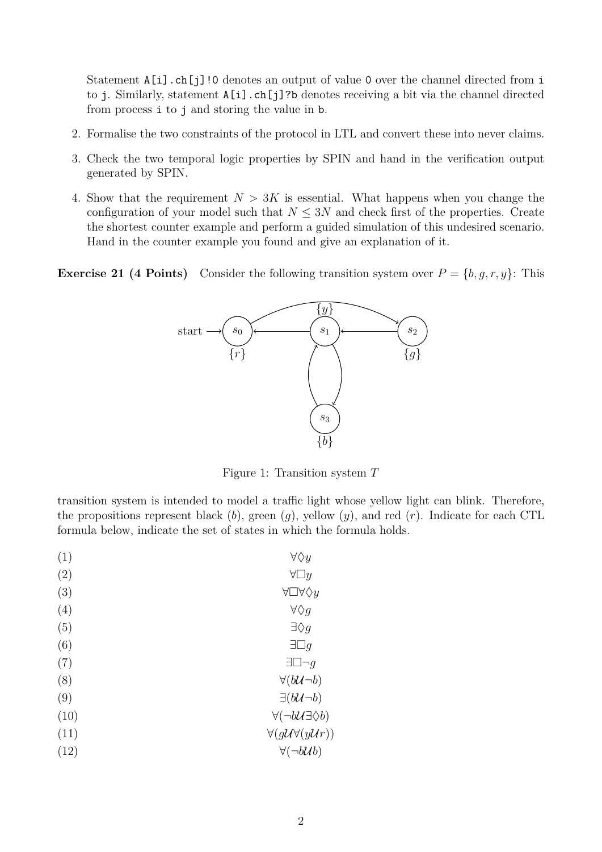Statement A[i].ch[j]!0 denotes an output of value 0 over the channel directed from i to j. Similarly, statement A[i].ch[j]?b denotes receiving a bit via the channel directed from process i to j and storing the value in b.

- 2. Formalise the two constraints of the protocol in LTL and convert these into never claims.
- 3. Check the two temporal logic properties by SPIN and hand in the verification output generated by SPIN.
- 4. Show that the requirement  $N > 3K$  is essential. What happens when you change the configuration of your model such that  $N \leq 3N$  and check first of the properties. Create the shortest counter example and perform a guided simulation of this undesired scenario. Hand in the counter example you found and give an explanation of it.

**Exercise 21 (4 Points)** Consider the following transition system over  $P = \{b, q, r, y\}$ . This



Figure 1: Transition system *T*

transition system is intended to model a traffic light whose yellow light can blink. Therefore, the propositions represent black  $(b)$ , green  $(g)$ , yellow  $(y)$ , and red  $(r)$ . Indicate for each CTL formula below, indicate the set of states in which the formula holds.

| (1)  | $\forall \Diamond y$                            |
|------|-------------------------------------------------|
| (2)  | $\forall \Box y$                                |
| (3)  | $\forall \Box \forall \Diamond y$               |
| (4)  | $\forall \Diamond g$                            |
| (5)  | $\exists \Diamond g$                            |
| (6)  | $\exists \Box g$                                |
| (7)  | $\exists \Box g$                                |
| (8)  | $\forall (b\mathcal{U}\neg b)$                  |
| (9)  | $\exists (\mathcal{U}\neg b)$                   |
| (10) | $\forall (\neg b\mathcal{U}\exists \Diamond b)$ |
| (11) | $\forall (g\mathcal{U}\forall(y\mathcal{U}r))$  |
| (12) | $\forall (\neg b\mathcal{U}\neg b)$             |